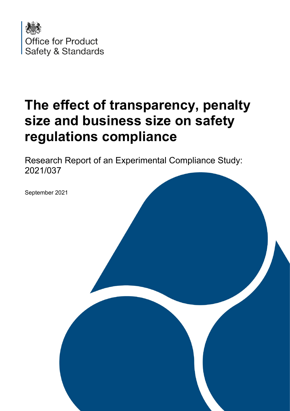

# **The effect of transparency, penalty size and business size on safety regulations compliance**

Research Report of an Experimental Compliance Study: 2021/037

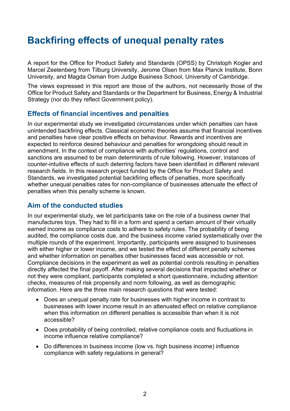# **Backfiring effects of unequal penalty rates**

A report for the Office for Product Safety and Standards (OPSS) by Christoph Kogler and Marcel Zeelenberg from Tilburg University, Jerome Olsen from Max Planck Institute, Bonn University, and Magda Osman from Judge Business School, University of Cambridge.

The views expressed in this report are those of the authors, not necessarily those of the Office for Product Safety and Standards or the Department for Business, Energy & Industrial Strategy (nor do they reflect Government policy).

### **Effects of financial incentives and penalties**

 unintended backfiring effects. Classical economic theories assume that financial incentives sanctions are assumed to be main determinants of rule following. However, instances of counter-intuitive effects of such deterring factors have been identified in different relevant whether unequal penalties rates for non-compliance of businesses attenuate the effect of In our experimental study we investigated circumstances under which penalties can have and penalties have clear positive effects on behaviour. Rewards and incentives are expected to reinforce desired behaviour and penalties for wrongdoing should result in amendment. In the context of compliance with authorities' regulations, control and research fields. In this research project funded by the Office for Product Safety and Standards, we investigated potential backfiring effects of penalties, more specifically penalties when this penalty scheme is known.

# **Aim of the conducted studies**

 audited, the compliance costs due, and the business income varied systematically over the with either higher or lower income, and we tested the effect of different penalty schemes In our experimental study, we let participants take on the role of a business owner that manufactures toys. They had to fill in a form and spend a certain amount of their virtually earned income as compliance costs to adhere to safety rules. The probability of being multiple rounds of the experiment. Importantly, participants were assigned to businesses and whether information on penalties other businesses faced was accessible or not. Compliance decisions in the experiment as well as potential controls resulting in penalties directly affected the final payoff. After making several decisions that impacted whether or not they were compliant, participants completed a short questionnaire, including attention checks, measures of risk propensity and norm following, as well as demographic information. Here are the three main research questions that were tested:

- Does an unequal penalty rate for businesses with higher income in contrast to businesses with lower income result in an attenuated effect on relative compliance when this information on different penalties is accessible than when it is not accessible?
- • Does probability of being controlled, relative compliance costs and fluctuations in income influence relative compliance?
- • Do differences in business income (low vs. high business income) influence compliance with safety regulations in general?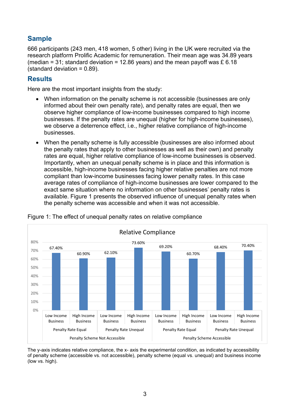# **Sample**

 (standard deviation = 0.89). 666 participants (243 men, 418 women, 5 other) living in the UK were recruited via the research platform Prolific Academic for remuneration. Their mean age was 34.89 years (median = 31; standard deviation = 12.86 years) and the mean payoff was £ 6.18

# **Results**

Here are the most important insights from the study:

- • When information on the penalty scheme is not accessible (businesses are only observe higher compliance of low-income businesses compared to high income informed about their own penalty rate), and penalty rates are equal, then we businesses. If the penalty rates are unequal (higher for high-income businesses), we observe a deterrence effect, i.e., higher relative compliance of high-income businesses.
- the penalty rates that apply to other businesses as well as their own) and penalty accessible, high-income businesses facing higher relative penalties are not more • When the penalty scheme is fully accessible (businesses are also informed about rates are equal, higher relative compliance of low-income businesses is observed. Importantly, when an unequal penalty scheme is in place and this information is compliant than low-income businesses facing lower penalty rates. In this case average rates of compliance of high-income businesses are lower compared to the exact same situation where no information on other businesses' penalty rates is available. Figure 1 presents the observed influence of unequal penalty rates when the penalty scheme was accessible and when it was not accessible.



Figure 1: The effect of unequal penalty rates on relative compliance

The y-axis indicates relative compliance, the x- axis the experimental condition, as indicated by accessibility of penalty scheme (accessible vs. not accessible), penalty scheme (equal vs. unequal) and business income (low vs. high).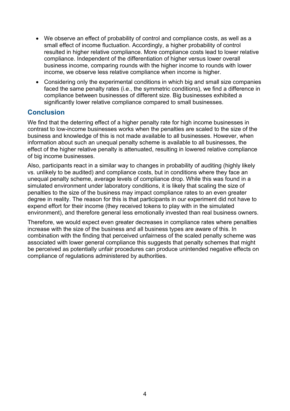- • We observe an effect of probability of control and compliance costs, as well as a small effect of income fluctuation. Accordingly, a higher probability of control resulted in higher relative compliance. More compliance costs lead to lower relative compliance. Independent of the differentiation of higher versus lower overall business income, comparing rounds with the higher income to rounds with lower income, we observe less relative compliance when income is higher.
- compliance between businesses of different size. Big businesses exhibited a • Considering only the experimental conditions in which big and small size companies faced the same penalty rates (i.e., the symmetric conditions), we find a difference in significantly lower relative compliance compared to small businesses.

# **Conclusion**

 We find that the deterring effect of a higher penalty rate for high income businesses in contrast to low-income businesses works when the penalties are scaled to the size of the business and knowledge of this is not made available to all businesses. However, when information about such an unequal penalty scheme is available to all businesses, the effect of the higher relative penalty is attenuated, resulting in lowered relative compliance of big income businesses.

 unequal penalty scheme, average levels of compliance drop. While this was found in a environment), and therefore general less emotionally invested than real business owners. Also, participants react in a similar way to changes in probability of auditing (highly likely vs. unlikely to be audited) and compliance costs, but in conditions where they face an simulated environment under laboratory conditions, it is likely that scaling the size of penalties to the size of the business may impact compliance rates to an even greater degree in reality. The reason for this is that participants in our experiment did not have to expend effort for their income (they received tokens to play with in the simulated

 increase with the size of the business and all business types are aware of this. In Therefore, we would expect even greater decreases in compliance rates where penalties combination with the finding that perceived unfairness of the scaled penalty scheme was associated with lower general compliance this suggests that penalty schemes that might be perceived as potentially unfair procedures can produce unintended negative effects on compliance of regulations administered by authorities.